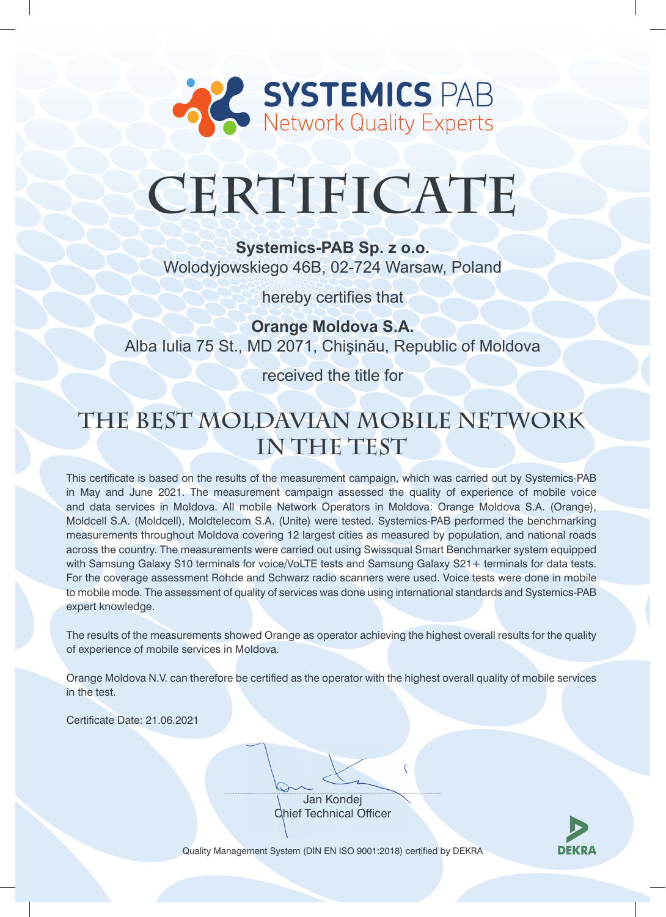

# **CERTIFICATE**

**Systemics-PAB Sp. z o.o.**  Wolodyjowskiego 46B, 02-724 Warsaw, Poland

hereby certifies that

**Orange Moldova S.A.**  Alba Iulia 75 St., MD 2071, Chişinău, Republic of Moldova

received the title for

## **The Best Moldavian Mobile Network in The Test**

This certificate is based on the results of the measurement campaign, which was carried out by Systemics-PAB in May and June 2021. The measurement campaign assessed the quality of experience of mobile voice and data services in Moldova. All mobile Network Operators in Moldova: Orange Moldova S.A. (Orange), Moldcell S.A. (Moldcell), Moldtelecom S.A. (Unite) were tested. Systemics-PAB performed the benchmarking measurements throughout Moldova covering 12 largest cities as measured by population, and national roads across the country. The measurements were carried out using Swissqual Smart Benchmarker system equipped with Samsung Galaxy S10 terminals for voice/VoLTE tests and Samsung Galaxy S21+ terminals for data tests. For the coverage assessment Rohde and Schwarz radio scanners were used. Voice tests were done in mobile to mobile mode. The assessment of quality of services was done using international standards and Systemics-PAB expert knowledge.

The results of the measurements showed Orange as operator achieving the highest overall results for the quality of experience of mobile services in Moldova.

Orange Moldova N.V. can therefore be certified as the operator with the highest overall quality of mobile services in the test.

Certificate Date: 21.06.2021

Jan Kondej **Chief Technical Officer** 

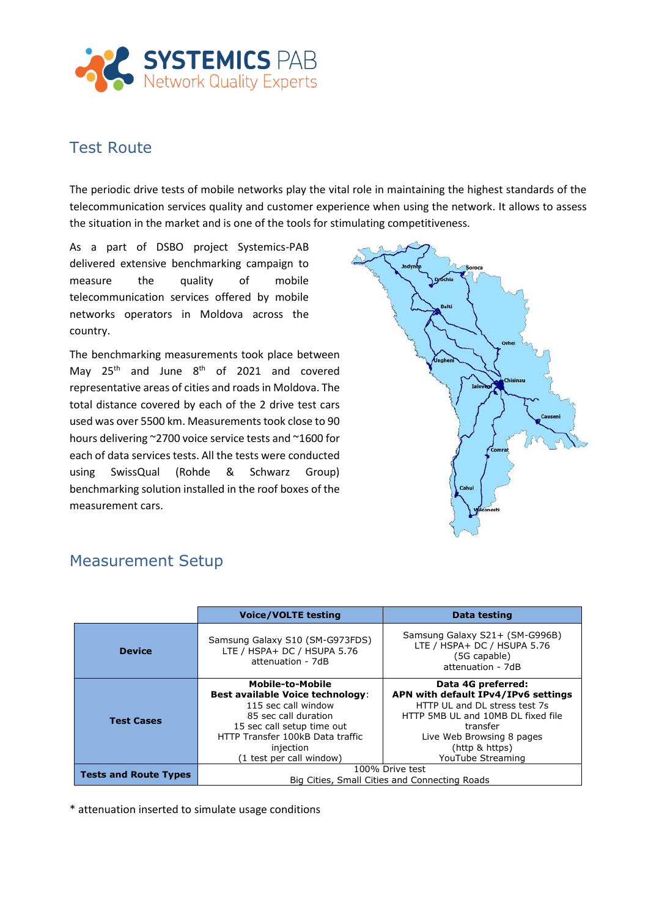

#### Test Route

The periodic drive tests of mobile networks play the vital role in maintaining the highest standards of the telecommunication services quality and customer experience when using the network. It allows to assess the situation in the market and is one of the tools for stimulating competitiveness.

As a part of DSBO project Systemics-PAB delivered extensive benchmarking campaign to measure the quality of mobile telecommunication services offered by mobile networks operators in Moldova across the country.

The benchmarking measurements took place between May  $25<sup>th</sup>$  and June  $8<sup>th</sup>$  of 2021 and covered representative areas of cities and roads in Moldova. The total distance covered by each of the 2 drive test cars used was over 5500 km. Measurements took close to 90 hours delivering ~2700 voice service tests and ~1600 for each of data services tests. All the tests were conducted using SwissQual (Rohde & Schwarz Group) benchmarking solution installed in the roof boxes of the measurement cars.



|                              | <b>Voice/VOLTE testing</b>                                                                                                                                                                                            | <b>Data testing</b>                                                                                                                                                                                              |
|------------------------------|-----------------------------------------------------------------------------------------------------------------------------------------------------------------------------------------------------------------------|------------------------------------------------------------------------------------------------------------------------------------------------------------------------------------------------------------------|
| <b>Device</b>                | Samsung Galaxy S10 (SM-G973FDS)<br>LTE / HSPA+ DC / HSUPA 5.76<br>attenuation - 7dB                                                                                                                                   | Samsung Galaxy S21+ (SM-G996B)<br>LTE / HSPA+ DC / HSUPA 5.76<br>(5G capable)<br>attenuation - 7dB                                                                                                               |
| <b>Test Cases</b>            | Mobile-to-Mobile<br><b>Best available Voice technology:</b><br>115 sec call window<br>85 sec call duration<br>15 sec call setup time out<br>HTTP Transfer 100kB Data traffic<br>injection<br>(1 test per call window) | Data 4G preferred:<br>APN with default IPv4/IPv6 settings<br>HTTP UL and DL stress test 7s<br>HTTP 5MB UL and 10MB DL fixed file<br>transfer<br>Live Web Browsing 8 pages<br>(http & https)<br>YouTube Streaming |
| <b>Tests and Route Types</b> | 100% Drive test<br>Big Cities, Small Cities and Connecting Roads                                                                                                                                                      |                                                                                                                                                                                                                  |

#### Measurement Setup

\* attenuation inserted to simulate usage conditions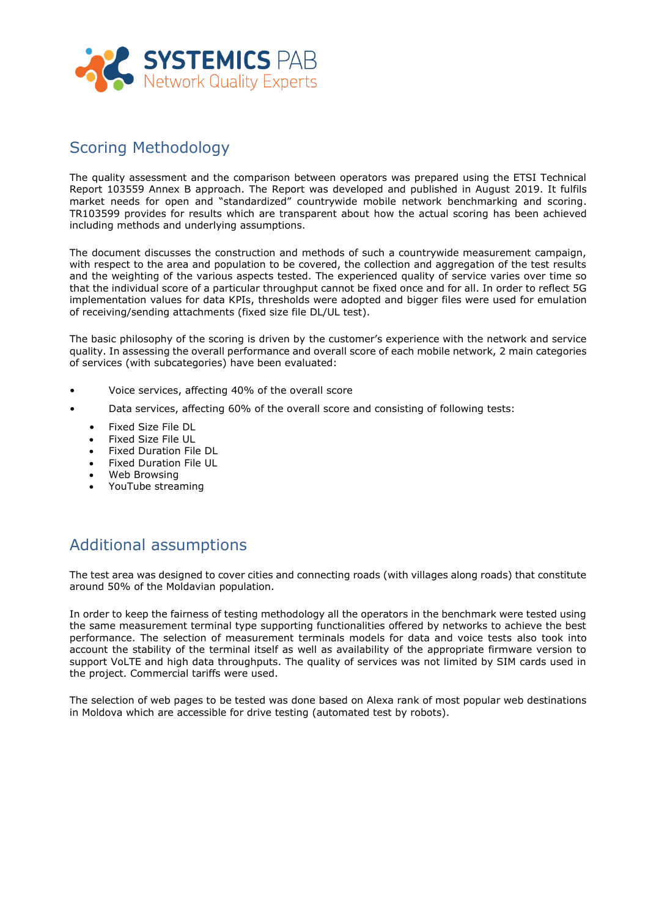

#### Scoring Methodology

The quality assessment and the comparison between operators was prepared using the ETSI Technical Report 103559 Annex B approach. The Report was developed and published in August 2019. It fulfils market needs for open and "standardized" countrywide mobile network benchmarking and scoring. TR103599 provides for results which are transparent about how the actual scoring has been achieved including methods and underlying assumptions.

The document discusses the construction and methods of such a countrywide measurement campaign, with respect to the area and population to be covered, the collection and aggregation of the test results and the weighting of the various aspects tested. The experienced quality of service varies over time so that the individual score of a particular throughput cannot be fixed once and for all. In order to reflect 5G implementation values for data KPIs, thresholds were adopted and bigger files were used for emulation of receiving/sending attachments (fixed size file DL/UL test).

The basic philosophy of the scoring is driven by the customer's experience with the network and service quality. In assessing the overall performance and overall score of each mobile network, 2 main categories of services (with subcategories) have been evaluated:

- Voice services, affecting 40% of the overall score
- Data services, affecting 60% of the overall score and consisting of following tests:
	- Fixed Size File DL
	- Fixed Size File UL
	- Fixed Duration File DL
	- Fixed Duration File UL
	- Web Browsing
	- YouTube streaming

### Additional assumptions

The test area was designed to cover cities and connecting roads (with villages along roads) that constitute around 50% of the Moldavian population.

In order to keep the fairness of testing methodology all the operators in the benchmark were tested using the same measurement terminal type supporting functionalities offered by networks to achieve the best performance. The selection of measurement terminals models for data and voice tests also took into account the stability of the terminal itself as well as availability of the appropriate firmware version to support VoLTE and high data throughputs. The quality of services was not limited by SIM cards used in the project. Commercial tariffs were used.

The selection of web pages to be tested was done based on Alexa rank of most popular web destinations in Moldova which are accessible for drive testing (automated test by robots).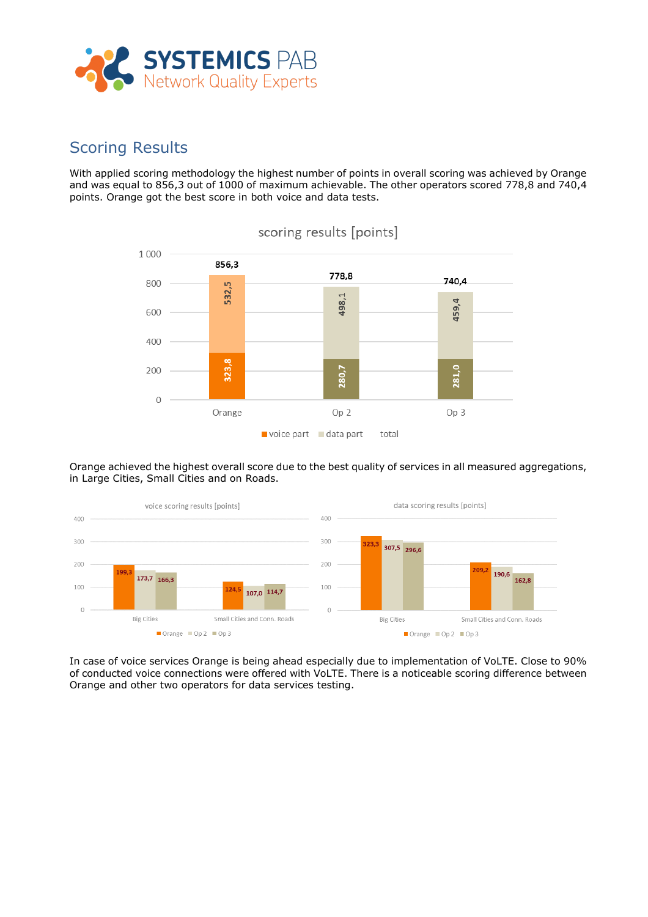

#### Scoring Results

With applied scoring methodology the highest number of points in overall scoring was achieved by Orange and was equal to 856,3 out of 1000 of maximum achievable. The other operators scored 778,8 and 740,4 points. Orange got the best score in both voice and data tests.



#### scoring results [points]

Orange achieved the highest overall score due to the best quality of services in all measured aggregations, in Large Cities, Small Cities and on Roads.



In case of voice services Orange is being ahead especially due to implementation of VoLTE. Close to 90% of conducted voice connections were offered with VoLTE. There is a noticeable scoring difference between Orange and other two operators for data services testing.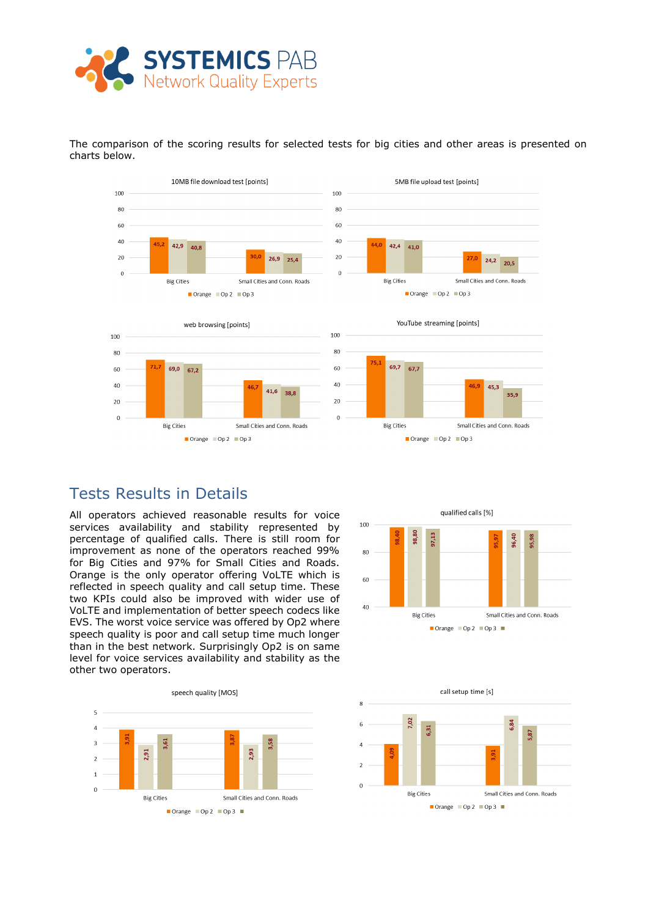

10MB file download test [points] 5MB file upload test [points] 100 100 80 80 60 60 40 40  $42,9$  $42,4$  $40,8$  $41,0$  $20$  $\overline{20}$ 26,9  $25,4$  $24,2$  20,5  $\overline{0}$ Big Citie: Small Cities and Conn. Roads **Big Cities** Small Cities and Conn. Roads Orange Op 2 Op 3 Orange Op 2 Op 3 YouTube streaming [points] web browsing [points]  $100$ 100 80 80 69,7 60 60 69.0 67.7  $67.2$  $40$ 40 45.3 41,6 38.8 35,9 20 20  $\overline{0}$  $\Omega$ **Big Cities** Small Cities and Conn. Roads Small Cities and Conn. Roads **Big Cities** Orange Op 2 Op 3 Orange Op 2 Op 3

The comparison of the scoring results for selected tests for big cities and other areas is presented on charts below.

#### Tests Results in Details

All operators achieved reasonable results for voice services availability and stability represented by percentage of qualified calls. There is still room for improvement as none of the operators reached 99% for Big Cities and 97% for Small Cities and Roads. Orange is the only operator offering VoLTE which is reflected in speech quality and call setup time. These two KPIs could also be improved with wider use of VoLTE and implementation of better speech codecs like EVS. The worst voice service was offered by Op2 where speech quality is poor and call setup time much longer than in the best network. Surprisingly Op2 is on same level for voice services availability and stability as the other two operators.





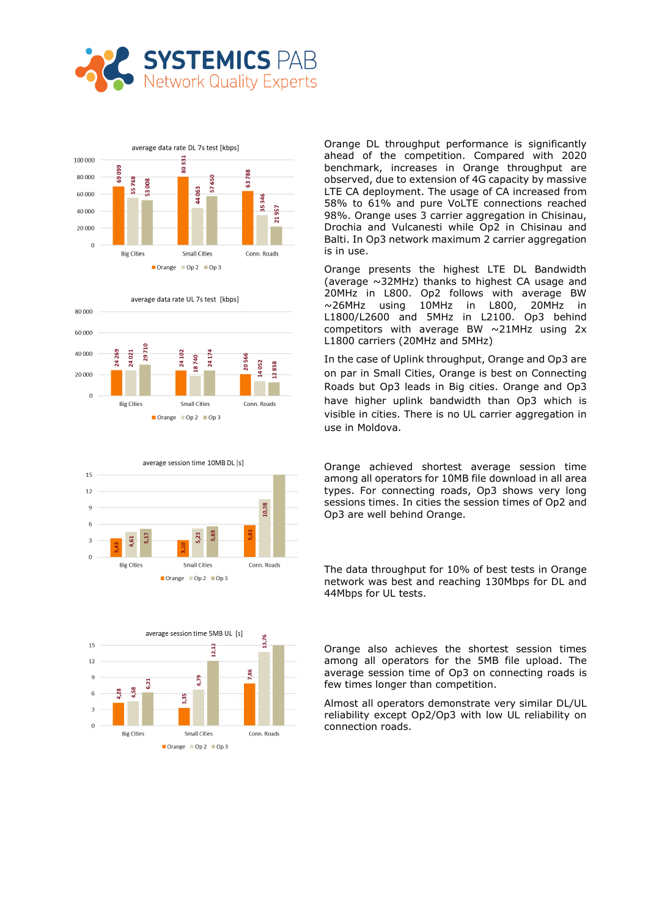









Orange DL throughput performance is significantly ahead of the competition. Compared with 2020 benchmark, increases in Orange throughput are observed, due to extension of 4G capacity by massive LTE CA deployment. The usage of CA increased from 58% to 61% and pure VoLTE connections reached 98%. Orange uses 3 carrier aggregation in Chisinau, Drochia and Vulcanesti while Op2 in Chisinau and Balti. In Op3 network maximum 2 carrier aggregation is in use.

Orange presents the highest LTE DL Bandwidth (average ~32MHz) thanks to highest CA usage and 20MHz in L800. Op2 follows with average BW ~26MHz using 10MHz in L800, 20MHz in L1800/L2600 and 5MHz in L2100. Op3 behind competitors with average BW ~21MHz using 2x L1800 carriers (20MHz and 5MHz)

In the case of Uplink throughput, Orange and Op3 are on par in Small Cities, Orange is best on Connecting Roads but Op3 leads in Big cities. Orange and Op3 have higher uplink bandwidth than Op3 which is visible in cities. There is no UL carrier aggregation in use in Moldova.

Orange achieved shortest average session time among all operators for 10MB file download in all area types. For connecting roads, Op3 shows very long sessions times. In cities the session times of Op2 and Op3 are well behind Orange.

The data throughput for 10% of best tests in Orange network was best and reaching 130Mbps for DL and 44Mbps for UL tests.

Orange also achieves the shortest session times among all operators for the 5MB file upload. The average session time of Op3 on connecting roads is few times longer than competition.

Almost all operators demonstrate very similar DL/UL reliability except Op2/Op3 with low UL reliability on connection roads.